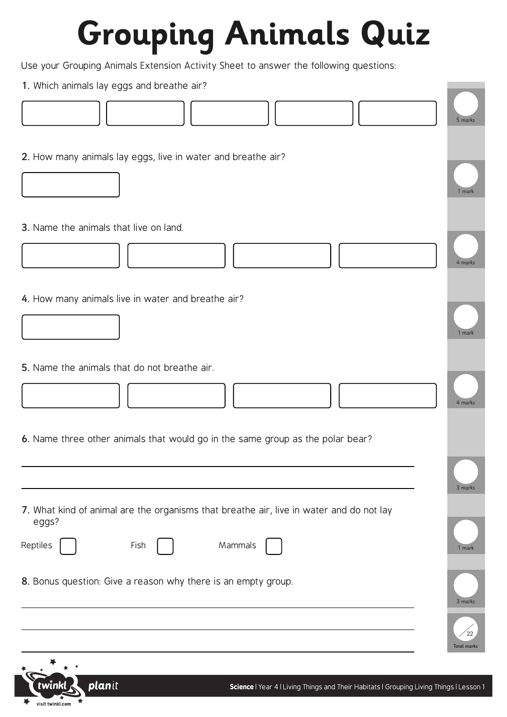## **Grouping Animals Quiz**

Use your Grouping Animals Extension Activity Sheet to answer the following questions:

1. Which animals lay eggs and breathe air?

x

visit twinkl.com

飞

| <b>1.</b> Which animals lay eggs and breather air.                                                                              | 5 marks            |
|---------------------------------------------------------------------------------------------------------------------------------|--------------------|
| 2. How many animals lay eggs, live in water and breathe air?                                                                    | 1 mark             |
| 3. Name the animals that live on land.                                                                                          | 4 marks            |
| 4. How many animals live in water and breathe air?                                                                              | 1 mark             |
| 5. Name the animals that do not breathe air.                                                                                    | 4 marks            |
| 6. Name three other animals that would go in the same group as the polar bear?                                                  | 3 marks            |
| 7. What kind of animal are the organisms that breathe air, live in water and do not lay<br>eggs?<br>Mammals<br>Reptiles<br>Fish | 1 mark             |
| 8. Bonus question: Give a reason why there is an empty group.                                                                   | 3 marks            |
| planit<br>twink<br>Science   Year 4   Living Things and Their Habitats   Grouping Living Things   Lesson 1                      | <b>Total marks</b> |